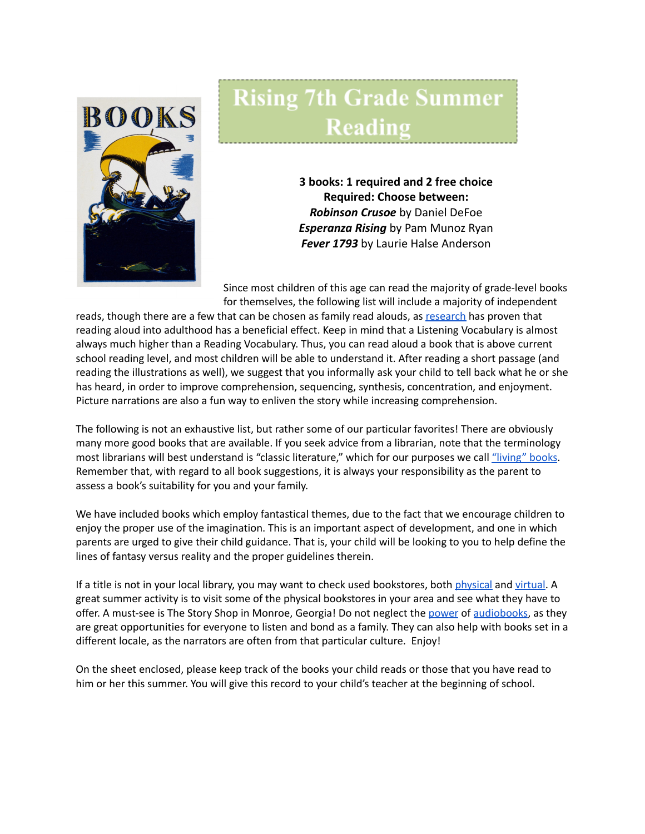

## **Rising 7th Grade Summer** Reading

**3 books: 1 required and 2 free choice Required: Choose between:** *Robinson Crusoe* by Daniel DeFoe *Esperanza Rising* by Pam Munoz Ryan *Fever 1793* by Laurie Halse Anderson

Since most children of this age can read the majority of grade-level books for themselves, the following list will include a majority of independent

reads, though there are a few that can be chosen as family read alouds, as [research](https://www.greatschools.org/gk/articles/read-aloud-to-children/) has proven that reading aloud into adulthood has a beneficial effect. Keep in mind that a Listening Vocabulary is almost always much higher than a Reading Vocabulary. Thus, you can read aloud a book that is above current school reading level, and most children will be able to understand it. After reading a short passage (and reading the illustrations as well), we suggest that you informally ask your child to tell back what he or she has heard, in order to improve comprehension, sequencing, synthesis, concentration, and enjoyment. Picture narrations are also a fun way to enliven the story while increasing comprehension.

The following is not an exhaustive list, but rather some of our particular favorites! There are obviously many more good books that are available. If you seek advice from a librarian, note that the terminology most librarians will best understand is "classic literature," which for our purposes we call ["living"](https://charlottemasonhome.com/2007/05/30/literature-by-grade/) books. Remember that, with regard to all book suggestions, it is always your responsibility as the parent to assess a book's suitability for you and your family.

We have included books which employ fantastical themes, due to the fact that we encourage children to enjoy the proper use of the imagination. This is an important aspect of development, and one in which parents are urged to give their child guidance. That is, your child will be looking to you to help define the lines of fantasy versus reality and the proper guidelines therein.

If a title is not in your local library, you may want to check used bookstores, both [physical](https://www.atlantaparent.com/top-kids-bookstores-in-atlanta/) and [virtual.](https://booksliced.com/books/here-are-the-20-best-websites-to-use-next-time-you-shop-for-paperback-and-hardcover-books-online/) A great summer activity is to visit some of the physical bookstores in your area and see what they have to offer. A must-see is The Story Shop in Monroe, Georgia! Do not neglect the [power](https://www.learningliftoff.com/free-audio-books-for-kids/) of [audiobooks](https://mashable.com/article/free-audiobooks/), as they are great opportunities for everyone to listen and bond as a family. They can also help with books set in a different locale, as the narrators are often from that particular culture. Enjoy!

On the sheet enclosed, please keep track of the books your child reads or those that you have read to him or her this summer. You will give this record to your child's teacher at the beginning of school.